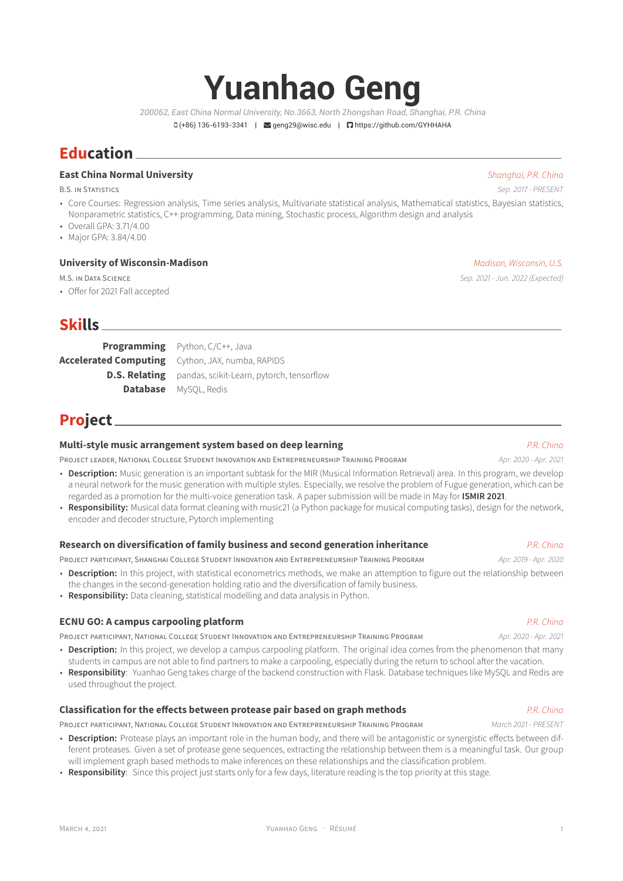# **Yuanhao Geng**

*200062, East China Normal University, No.3663, North Zhongshan Road, Shanghai, P.R. China*

ü (+86) 136-6193-3341 | Ó geng29@wisc.edu | https://github.com/GYHHAHA

## **Education**

## **East China Normal University** *Shanghai, P.R. China*

B.S. IN STATISTICS *Sep. 2017 - PRESENT*

- Core Courses: Regression analysis, Time series analysis, Multivariate statistical analysis, Mathematical statistics, Bayesian statistics, Nonparametric statistics, C++ programming, Data mining, Stochastic process, Algorithm design and analysis
- Overall GPA: 3.71/4.00
- Major GPA: 3.84/4.00

## **University of Wisconsin-Madison** *Madison, Wisconsin, U.S.*

• Offer for 2021 Fall accepted

## **Skills**

**Programming** Python, C/C++, Java **Accelerated Computing** Cython, JAX, numba, RAPIDS **D.S. Relating** pandas, scikit-Learn, pytorch, tensorflow **Database** MySQL, Redis

## **Project**

## **Multi-style music arrangement system based on deep learning** *P.R. China*

PROJECT LEADER, NATIONAL COLLEGE STUDENT INNOVATION AND ENTREPRENEURSHIP TRAINING PROGRAM *Apr. 2020 - Apr. 2021*

- **Description:** Music generation is an important subtask for the MIR (Musical Information Retrieval) area. In this program, we develop a neural network for the music generation with multiple styles. Especially, we resolve the problem of Fugue generation, which can be regarded as a promotion for the multi-voice generation task. A paper submission will be made in May for **ISMIR 2021**.
- **Responsibility:** Musical data format cleaning with music21 (a Python package for musical computing tasks), design for the network, encoder and decoder structure, Pytorch implementing

#### **Research on diversification of family business and second generation inheritance** *P.R. China*

PROJECT PARTICIPANT, SHANGHAI COLLEGE STUDENT INNOVATION AND ENTREPRENEURSHIP TRAINING PROGRAM *Apr. 2019 - Apr. 2020*

- **Description:** In this project, with statistical econometrics methods, we make an attemption to figure out the relationship between the changes in the second-generation holding ratio and the diversification of family business.
- **Responsibility:** Data cleaning, statistical modelling and data analysis in Python.

#### **ECNU GO: A campus carpooling platform** *P.R. China*

PROJECT PARTICIPANT, NATIONAL COLLEGE STUDENT INNOVATION AND ENTREPRENEURSHIP TRAINING PROGRAM *Apr. 2020 - Apr. 2021*

- **Description:** In this project, we develop a campus carpooling platform. The original idea comes from the phenomenon that many students in campus are not able to find partners to make a carpooling, especially during the return to school after the vacation.
- **Responsibility**: Yuanhao Geng takes charge of the backend construction with Flask. Database techniques like MySQL and Redis are used throughout the project.

## **Classification for the effects between protease pair based on graph methods** *P.R. China*

PROJECT PARTICIPANT, NATIONAL COLLEGE STUDENT INNOVATION AND ENTREPRENEURSHIP TRAINING PROGRAM *March 2021 - PRESENT*

- **Description:** Protease plays an important role in the human body, and there will be antagonistic or synergistic effects between different proteases. Given a set of protease gene sequences, extracting the relationship between them is a meaningful task. Our group will implement graph based methods to make inferences on these relationships and the classification problem.
- **Responsibility**: Since this project just starts only for a few days, literature reading is the top priority at this stage.

M.S. IN DATA SCIENCE *Sep. 2021 - Jun. 2022 (Expected)*